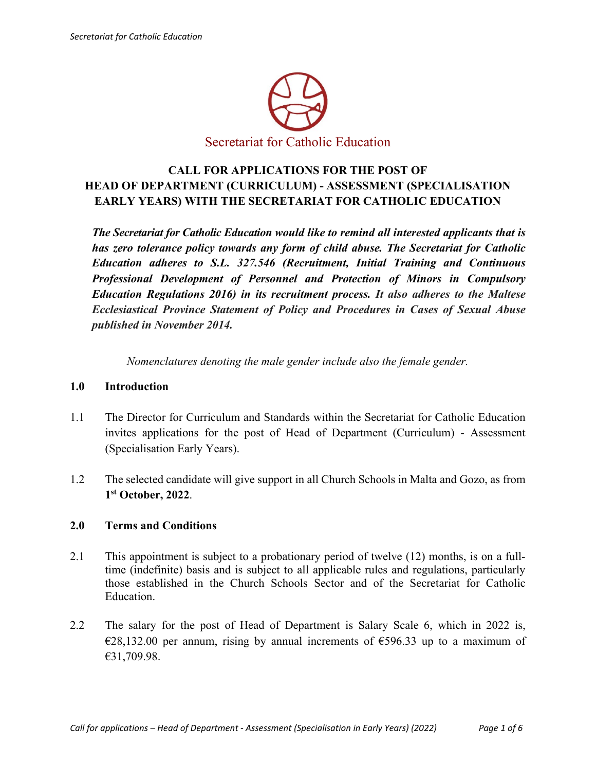

# **CALL FOR APPLICATIONS FOR THE POST OF HEAD OF DEPARTMENT (CURRICULUM) - ASSESSMENT (SPECIALISATION EARLY YEARS) WITH THE SECRETARIAT FOR CATHOLIC EDUCATION**

*The Secretariat for Catholic Education would like to remind all interested applicants that is has zero tolerance policy towards any form of child abuse. The Secretariat for Catholic Education adheres to S.L. 327.546 (Recruitment, Initial Training and Continuous Professional Development of Personnel and Protection of Minors in Compulsory Education Regulations 2016) in its recruitment process. It also adheres to the Maltese Ecclesiastical Province Statement of Policy and Procedures in Cases of Sexual Abuse published in November 2014.*

*Nomenclatures denoting the male gender include also the female gender.*

### **1.0 Introduction**

- 1.1 The Director for Curriculum and Standards within the Secretariat for Catholic Education invites applications for the post of Head of Department (Curriculum) - Assessment (Specialisation Early Years).
- 1.2 The selected candidate will give support in all Church Schools in Malta and Gozo, as from **1st October, 2022**.

### **2.0 Terms and Conditions**

- 2.1 This appointment is subject to a probationary period of twelve (12) months, is on a fulltime (indefinite) basis and is subject to all applicable rules and regulations, particularly those established in the Church Schools Sector and of the Secretariat for Catholic Education.
- 2.2 The salary for the post of Head of Department is Salary Scale 6, which in 2022 is,  $E28,132.00$  per annum, rising by annual increments of  $E596.33$  up to a maximum of €31,709.98.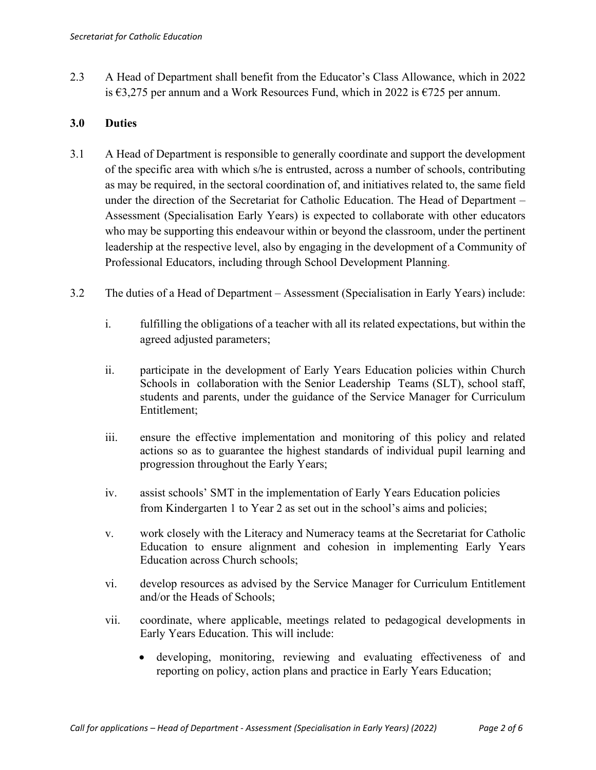2.3 A Head of Department shall benefit from the Educator's Class Allowance, which in 2022 is €3,275 per annum and a Work Resources Fund, which in 2022 is €725 per annum.

## **3.0 Duties**

- 3.1 A Head of Department is responsible to generally coordinate and support the development of the specific area with which s/he is entrusted, across a number of schools, contributing as may be required, in the sectoral coordination of, and initiatives related to, the same field under the direction of the Secretariat for Catholic Education. The Head of Department – Assessment (Specialisation Early Years) is expected to collaborate with other educators who may be supporting this endeavour within or beyond the classroom, under the pertinent leadership at the respective level, also by engaging in the development of a Community of Professional Educators, including through School Development Planning.
- 3.2 The duties of a Head of Department Assessment (Specialisation in Early Years) include:
	- i. fulfilling the obligations of a teacher with all its related expectations, but within the agreed adjusted parameters;
	- ii. participate in the development of Early Years Education policies within Church Schools in collaboration with the Senior Leadership Teams (SLT), school staff, students and parents, under the guidance of the Service Manager for Curriculum Entitlement;
	- iii. ensure the effective implementation and monitoring of this policy and related actions so as to guarantee the highest standards of individual pupil learning and progression throughout the Early Years;
	- iv. assist schools' SMT in the implementation of Early Years Education policies from Kindergarten 1 to Year 2 as set out in the school's aims and policies;
	- v. work closely with the Literacy and Numeracy teams at the Secretariat for Catholic Education to ensure alignment and cohesion in implementing Early Years Education across Church schools;
	- vi. develop resources as advised by the Service Manager for Curriculum Entitlement and/or the Heads of Schools;
	- vii. coordinate, where applicable, meetings related to pedagogical developments in Early Years Education. This will include:
		- developing, monitoring, reviewing and evaluating effectiveness of and reporting on policy, action plans and practice in Early Years Education;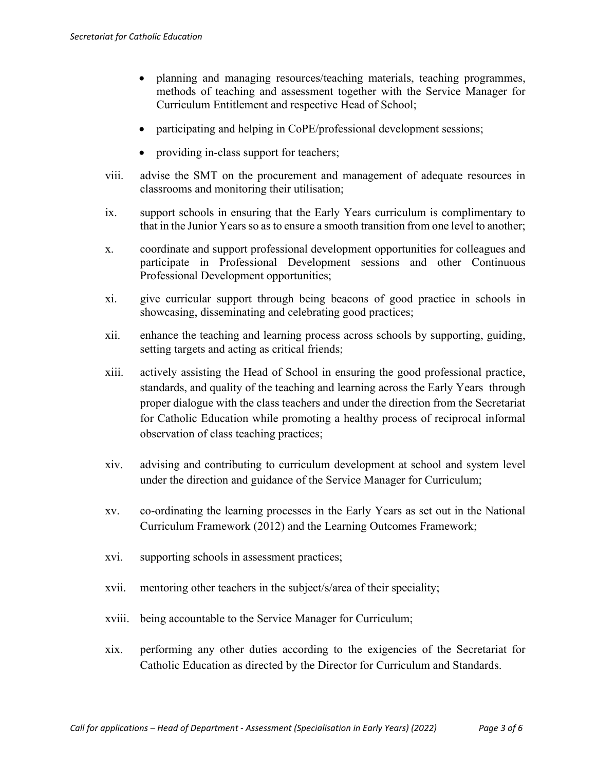- planning and managing resources/teaching materials, teaching programmes, methods of teaching and assessment together with the Service Manager for Curriculum Entitlement and respective Head of School;
- participating and helping in CoPE/professional development sessions;
- providing in-class support for teachers;
- viii. advise the SMT on the procurement and management of adequate resources in classrooms and monitoring their utilisation;
- ix. support schools in ensuring that the Early Years curriculum is complimentary to that in the Junior Years so as to ensure a smooth transition from one level to another;
- x. coordinate and support professional development opportunities for colleagues and participate in Professional Development sessions and other Continuous Professional Development opportunities;
- xi. give curricular support through being beacons of good practice in schools in showcasing, disseminating and celebrating good practices;
- xii. enhance the teaching and learning process across schools by supporting, guiding, setting targets and acting as critical friends;
- xiii. actively assisting the Head of School in ensuring the good professional practice, standards, and quality of the teaching and learning across the Early Years through proper dialogue with the class teachers and under the direction from the Secretariat for Catholic Education while promoting a healthy process of reciprocal informal observation of class teaching practices;
- xiv. advising and contributing to curriculum development at school and system level under the direction and guidance of the Service Manager for Curriculum;
- xv. co-ordinating the learning processes in the Early Years as set out in the National Curriculum Framework (2012) and the Learning Outcomes Framework;
- xvi. supporting schools in assessment practices;
- xvii. mentoring other teachers in the subject/s/area of their speciality;
- xviii. being accountable to the Service Manager for Curriculum;
- xix. performing any other duties according to the exigencies of the Secretariat for Catholic Education as directed by the Director for Curriculum and Standards.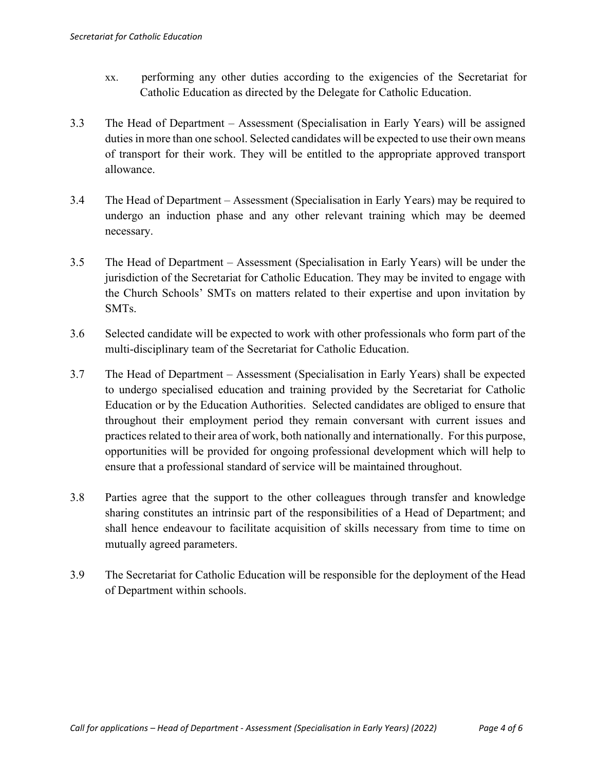- xx. performing any other duties according to the exigencies of the Secretariat for Catholic Education as directed by the Delegate for Catholic Education.
- 3.3 The Head of Department Assessment (Specialisation in Early Years) will be assigned duties in more than one school. Selected candidates will be expected to use their own means of transport for their work. They will be entitled to the appropriate approved transport allowance.
- 3.4 The Head of Department Assessment (Specialisation in Early Years) may be required to undergo an induction phase and any other relevant training which may be deemed necessary.
- 3.5 The Head of Department Assessment (Specialisation in Early Years) will be under the jurisdiction of the Secretariat for Catholic Education. They may be invited to engage with the Church Schools' SMTs on matters related to their expertise and upon invitation by SMTs.
- 3.6 Selected candidate will be expected to work with other professionals who form part of the multi-disciplinary team of the Secretariat for Catholic Education.
- 3.7 The Head of Department Assessment (Specialisation in Early Years) shall be expected to undergo specialised education and training provided by the Secretariat for Catholic Education or by the Education Authorities. Selected candidates are obliged to ensure that throughout their employment period they remain conversant with current issues and practices related to their area of work, both nationally and internationally. For this purpose, opportunities will be provided for ongoing professional development which will help to ensure that a professional standard of service will be maintained throughout.
- 3.8 Parties agree that the support to the other colleagues through transfer and knowledge sharing constitutes an intrinsic part of the responsibilities of a Head of Department; and shall hence endeavour to facilitate acquisition of skills necessary from time to time on mutually agreed parameters.
- 3.9 The Secretariat for Catholic Education will be responsible for the deployment of the Head of Department within schools.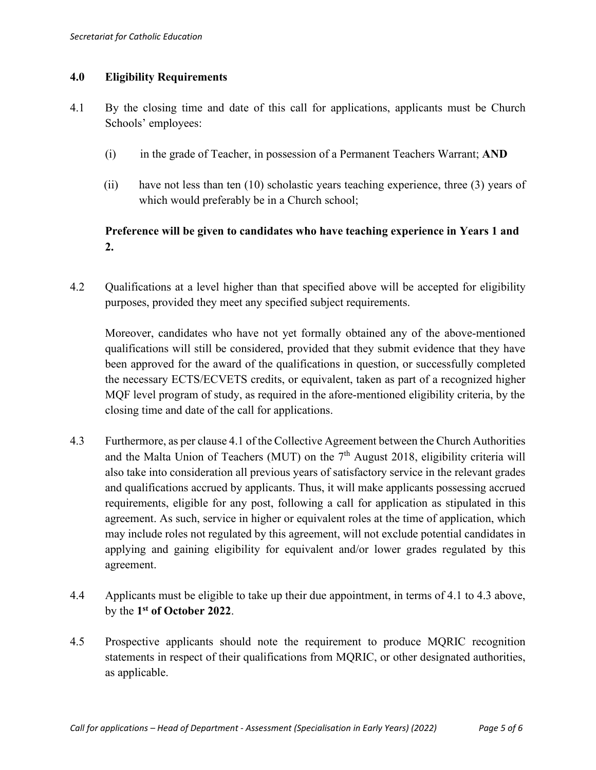## **4.0 Eligibility Requirements**

- 4.1 By the closing time and date of this call for applications, applicants must be Church Schools' employees:
	- (i) in the grade of Teacher, in possession of a Permanent Teachers Warrant; **AND**
	- (ii) have not less than ten (10) scholastic years teaching experience, three (3) years of which would preferably be in a Church school;

# **Preference will be given to candidates who have teaching experience in Years 1 and 2.**

4.2 Qualifications at a level higher than that specified above will be accepted for eligibility purposes, provided they meet any specified subject requirements.

Moreover, candidates who have not yet formally obtained any of the above-mentioned qualifications will still be considered, provided that they submit evidence that they have been approved for the award of the qualifications in question, or successfully completed the necessary ECTS/ECVETS credits, or equivalent, taken as part of a recognized higher MQF level program of study, as required in the afore-mentioned eligibility criteria, by the closing time and date of the call for applications.

- 4.3 Furthermore, as per clause 4.1 of the Collective Agreement between the Church Authorities and the Malta Union of Teachers (MUT) on the  $7<sup>th</sup>$  August 2018, eligibility criteria will also take into consideration all previous years of satisfactory service in the relevant grades and qualifications accrued by applicants. Thus, it will make applicants possessing accrued requirements, eligible for any post, following a call for application as stipulated in this agreement. As such, service in higher or equivalent roles at the time of application, which may include roles not regulated by this agreement, will not exclude potential candidates in applying and gaining eligibility for equivalent and/or lower grades regulated by this agreement.
- 4.4 Applicants must be eligible to take up their due appointment, in terms of 4.1 to 4.3 above, by the **1st of October 2022**.
- 4.5 Prospective applicants should note the requirement to produce MQRIC recognition statements in respect of their qualifications from MQRIC, or other designated authorities, as applicable.